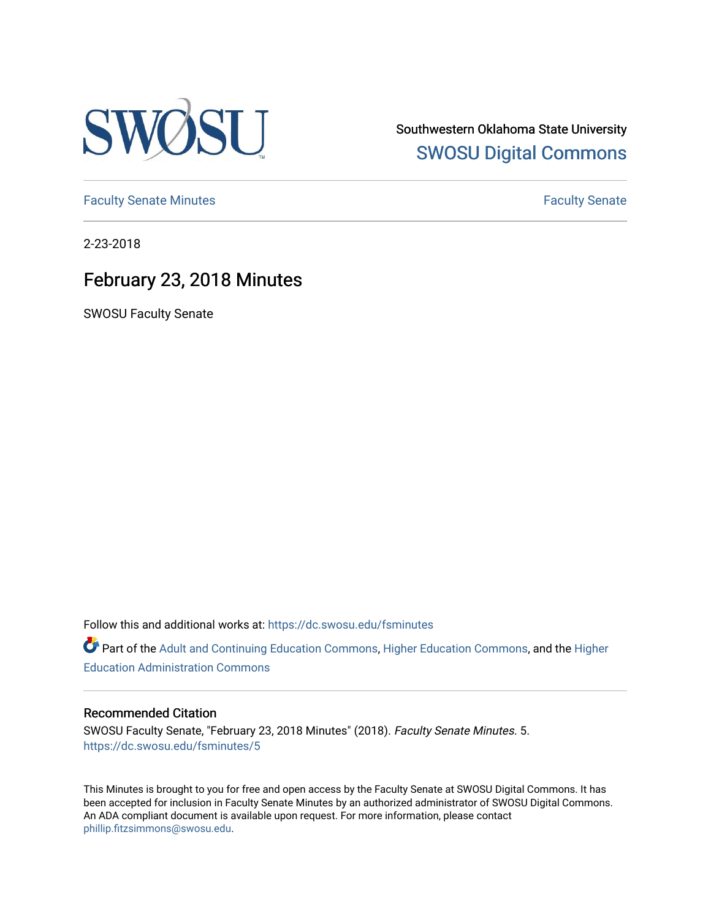

Southwestern Oklahoma State University [SWOSU Digital Commons](https://dc.swosu.edu/) 

[Faculty Senate Minutes](https://dc.swosu.edu/fsminutes) **Faculty** Senate Minutes

2-23-2018

## February 23, 2018 Minutes

SWOSU Faculty Senate

Follow this and additional works at: [https://dc.swosu.edu/fsminutes](https://dc.swosu.edu/fsminutes?utm_source=dc.swosu.edu%2Ffsminutes%2F5&utm_medium=PDF&utm_campaign=PDFCoverPages) 

Part of the [Adult and Continuing Education Commons,](http://network.bepress.com/hgg/discipline/1375?utm_source=dc.swosu.edu%2Ffsminutes%2F5&utm_medium=PDF&utm_campaign=PDFCoverPages) [Higher Education Commons,](http://network.bepress.com/hgg/discipline/1245?utm_source=dc.swosu.edu%2Ffsminutes%2F5&utm_medium=PDF&utm_campaign=PDFCoverPages) and the [Higher](http://network.bepress.com/hgg/discipline/791?utm_source=dc.swosu.edu%2Ffsminutes%2F5&utm_medium=PDF&utm_campaign=PDFCoverPages) [Education Administration Commons](http://network.bepress.com/hgg/discipline/791?utm_source=dc.swosu.edu%2Ffsminutes%2F5&utm_medium=PDF&utm_campaign=PDFCoverPages) 

## Recommended Citation

SWOSU Faculty Senate, "February 23, 2018 Minutes" (2018). Faculty Senate Minutes. 5. [https://dc.swosu.edu/fsminutes/5](https://dc.swosu.edu/fsminutes/5?utm_source=dc.swosu.edu%2Ffsminutes%2F5&utm_medium=PDF&utm_campaign=PDFCoverPages)

This Minutes is brought to you for free and open access by the Faculty Senate at SWOSU Digital Commons. It has been accepted for inclusion in Faculty Senate Minutes by an authorized administrator of SWOSU Digital Commons. An ADA compliant document is available upon request. For more information, please contact [phillip.fitzsimmons@swosu.edu](mailto:phillip.fitzsimmons@swosu.edu).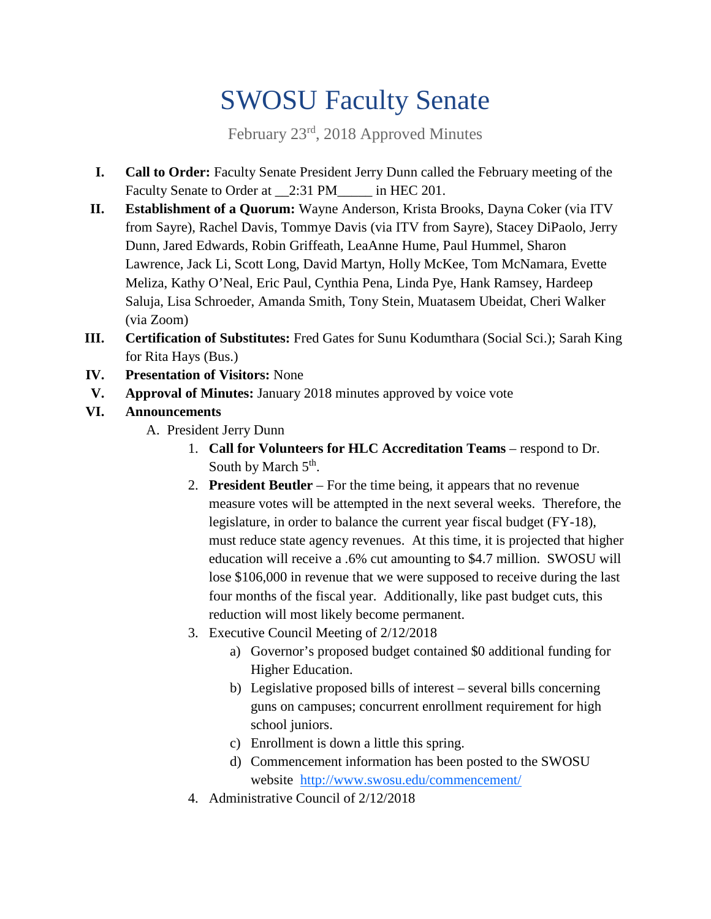## SWOSU Faculty Senate

February 23rd, 2018 Approved Minutes

- **I. Call to Order:** Faculty Senate President Jerry Dunn called the February meeting of the Faculty Senate to Order at 2:31 PM\_\_\_\_\_ in HEC 201.
- **II. Establishment of a Quorum:** Wayne Anderson, Krista Brooks, Dayna Coker (via ITV from Sayre), Rachel Davis, Tommye Davis (via ITV from Sayre), Stacey DiPaolo, Jerry Dunn, Jared Edwards, Robin Griffeath, LeaAnne Hume, Paul Hummel, Sharon Lawrence, Jack Li, Scott Long, David Martyn, Holly McKee, Tom McNamara, Evette Meliza, Kathy O'Neal, Eric Paul, Cynthia Pena, Linda Pye, Hank Ramsey, Hardeep Saluja, Lisa Schroeder, Amanda Smith, Tony Stein, Muatasem Ubeidat, Cheri Walker (via Zoom)
- **III. Certification of Substitutes:** Fred Gates for Sunu Kodumthara (Social Sci.); Sarah King for Rita Hays (Bus.)
- **IV. Presentation of Visitors:** None
- **V. Approval of Minutes:** January 2018 minutes approved by voice vote
- **VI. Announcements**
	- A. President Jerry Dunn
		- 1. **Call for Volunteers for HLC Accreditation Teams** respond to Dr. South by March  $5<sup>th</sup>$ .
		- 2. **President Beutler** For the time being, it appears that no revenue measure votes will be attempted in the next several weeks. Therefore, the legislature, in order to balance the current year fiscal budget (FY-18), must reduce state agency revenues. At this time, it is projected that higher education will receive a .6% cut amounting to \$4.7 million. SWOSU will lose \$106,000 in revenue that we were supposed to receive during the last four months of the fiscal year. Additionally, like past budget cuts, this reduction will most likely become permanent.
		- 3. Executive Council Meeting of 2/12/2018
			- a) Governor's proposed budget contained \$0 additional funding for Higher Education.
			- b) Legislative proposed bills of interest several bills concerning guns on campuses; concurrent enrollment requirement for high school juniors.
			- c) Enrollment is down a little this spring.
			- d) Commencement information has been posted to the SWOSU website <http://www.swosu.edu/commencement/>
		- 4. Administrative Council of 2/12/2018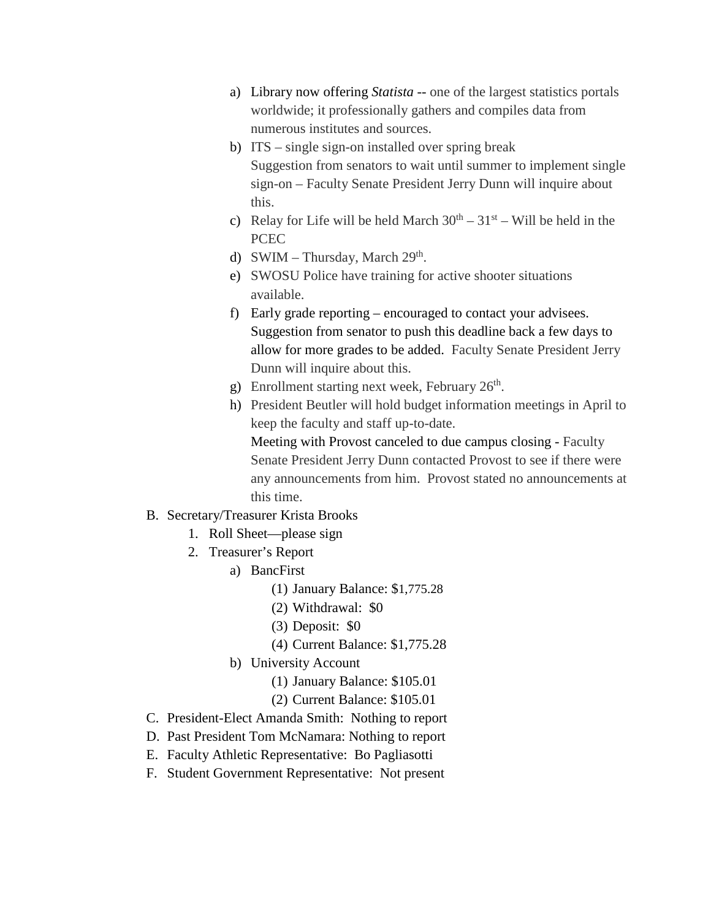- a) Library now offering *Statista* -- one of the largest statistics portals worldwide; it professionally gathers and compiles data from numerous institutes and sources.
- b) ITS single sign-on installed over spring break Suggestion from senators to wait until summer to implement single sign-on – Faculty Senate President Jerry Dunn will inquire about this.
- c) Relay for Life will be held March  $30<sup>th</sup> 31<sup>st</sup> -$  Will be held in the **PCEC**
- d) SWIM Thursday, March  $29<sup>th</sup>$ .
- e) SWOSU Police have training for active shooter situations available.
- f) Early grade reporting encouraged to contact your advisees. Suggestion from senator to push this deadline back a few days to allow for more grades to be added. Faculty Senate President Jerry Dunn will inquire about this.
- g) Enrollment starting next week, February  $26<sup>th</sup>$ .
- h) President Beutler will hold budget information meetings in April to keep the faculty and staff up-to-date.

Meeting with Provost canceled to due campus closing - Faculty Senate President Jerry Dunn contacted Provost to see if there were any announcements from him. Provost stated no announcements at this time.

## B. Secretary/Treasurer Krista Brooks

- 1. Roll Sheet—please sign
- 2. Treasurer's Report
	- a) BancFirst
		- (1) January Balance: \$1,775.28
		- (2) Withdrawal: \$0
		- (3) Deposit: \$0
		- (4) Current Balance: \$1,775.28
	- b) University Account
		- (1) January Balance: \$105.01
		- (2) Current Balance: \$105.01
- C. President-Elect Amanda Smith: Nothing to report
- D. Past President Tom McNamara: Nothing to report
- E. Faculty Athletic Representative: Bo Pagliasotti
- F. Student Government Representative: Not present